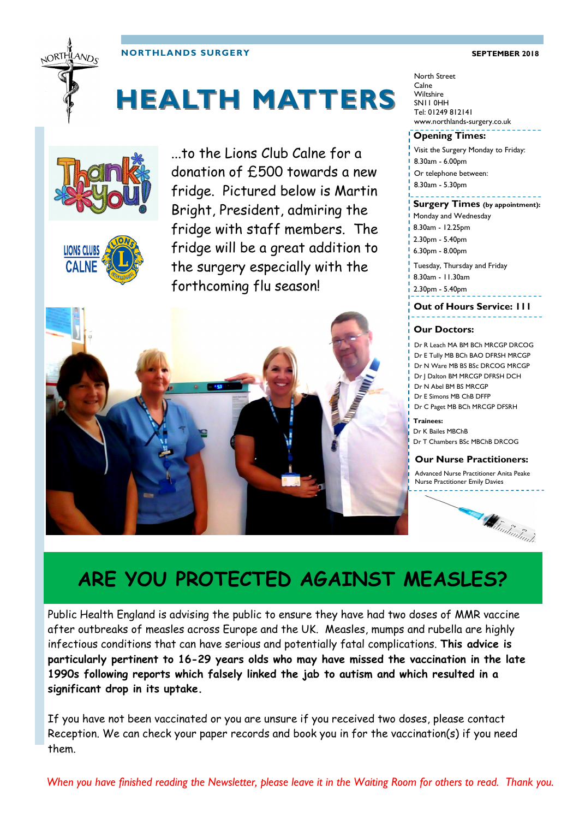#### **NORTHLANDS SURGERY SEPTEMBER 2018**



# **HEALTH MATTERS**





...to the Lions Club Calne for a donation of £500 towards a new fridge. Pictured below is Martin Bright, President, admiring the fridge with staff members. The fridge will be a great addition to the surgery especially with the forthcoming flu season!



#### North Street Calne **Wiltshire** SN11 0HH Tel: 01249 812141 www.northlands-surgery.co.uk

#### **Opening Times:**

Visit the Surgery Monday to Friday: 8.30am - 6.00pm Or telephone between: 8.30am - 5.30pm

#### **Surgery Times (by appointment):**

Monday and Wednesday 8.30am - 12.25pm 2.30pm - 5.40pm 6.30pm - 8.00pm Tuesday, Thursday and Friday 8.30am - 11.30am

2.30pm - 5.40pm

### **Out of Hours Service: 111**

#### **Our Doctors:**

Dr R Leach MA BM BCh MRCGP DRCOG Dr E Tully MB BCh BAO DFRSH MRCGP Dr N Ware MB BS BSc DRCOG MRCGP Dr J Dalton BM MRCGP DFRSH DCH Dr N Abel BM BS MRCGP Dr E Simons MB ChB DFFP Dr C Paget MB BCh MRCGP DFSRH

**Trainees:** Dr K Bailes MBChB Dr T Chambers BSc MBChB DRCOG

#### **Our Nurse Practitioners:**

Advanced Nurse Practitioner Anita Peake Nurse Practitioner Emily Davies



### **ARE YOU PROTECTED AGAINST MEASLES?**

Public Health England is advising the public to ensure they have had two doses of MMR vaccine after outbreaks of measles across Europe and the UK. [Measles,](https://www.nhs.uk/conditions/measles/Pages/Introduction.aspx) [mumps](https://www.nhs.uk/Conditions/Mumps/Pages/Introduction.aspx) and [rubella](https://www.nhs.uk/Conditions/Rubella/Pages/Introduction.aspx) are highly infectious conditions that can have serious and potentially fatal complications. **This advice is particularly pertinent to 16-29 years olds who may have missed the vaccination in the late 1990s following reports which falsely linked the jab to autism and which resulted in a significant drop in its uptake.** 

If you have not been vaccinated or you are unsure if you received two doses, please contact Reception. We can check your paper records and book you in for the vaccination(s) if you need them.

*When you have finished reading the Newsletter, please leave it in the Waiting Room for others to read. Thank you.*